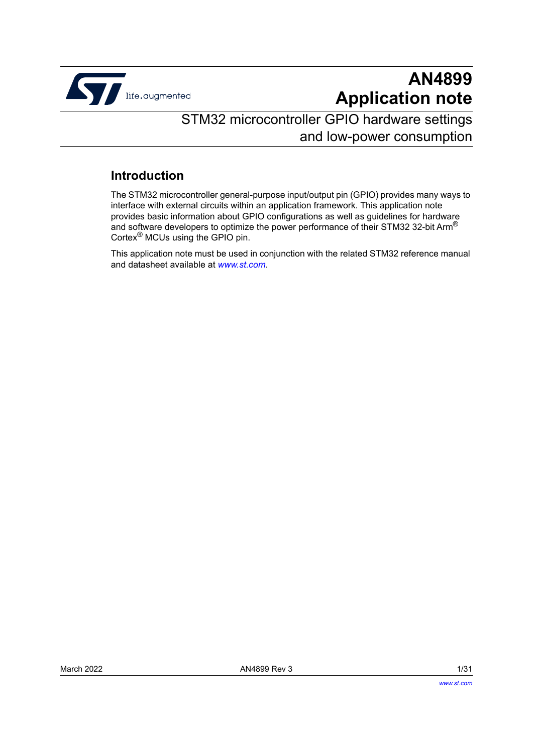

# **AN4899 Application note**

# STM32 microcontroller GPIO hardware settings and low-power consumption

### **Introduction**

The STM32 microcontroller general-purpose input/output pin (GPIO) provides many ways to interface with external circuits within an application framework. This application note provides basic information about GPIO configurations as well as guidelines for hardware and software developers to optimize the power performance of their STM32 32-bit Arm® Cortex® MCUs using the GPIO pin.

This application note must be used in conjunction with the related STM32 reference manual and datasheet available at *www.st.com*.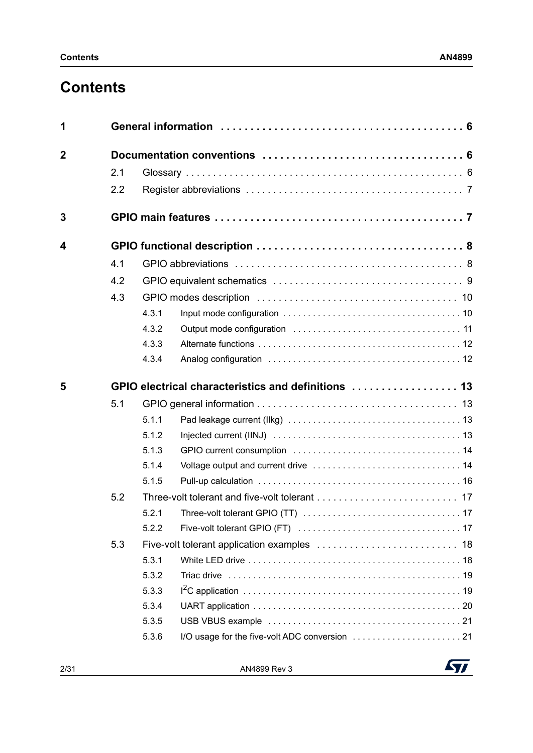# **Contents**

| $\overline{2}$<br>2.1<br>2.2<br>3<br>4<br>4.1<br>4.2<br>4.3<br>4.3.1<br>4.3.2 |  |
|-------------------------------------------------------------------------------|--|
|                                                                               |  |
|                                                                               |  |
|                                                                               |  |
|                                                                               |  |
|                                                                               |  |
|                                                                               |  |
|                                                                               |  |
|                                                                               |  |
|                                                                               |  |
|                                                                               |  |
| 4.3.3                                                                         |  |
| 4.3.4                                                                         |  |
| 5                                                                             |  |
| 5.1                                                                           |  |
| 5.1.1                                                                         |  |
| 5.1.2                                                                         |  |
| 5.1.3                                                                         |  |
| 5.1.4                                                                         |  |
| 5.1.5                                                                         |  |
| 5.2                                                                           |  |
| 5.2.1                                                                         |  |
| 5.2.2                                                                         |  |
| 5.3                                                                           |  |
| 5.3.1                                                                         |  |
| 5.3.2                                                                         |  |
| 5.3.3                                                                         |  |
| 5.3.4                                                                         |  |
| 5.3.5                                                                         |  |
| 5.3.6                                                                         |  |

2/[31](#page-30-0) AN4899 Rev 3

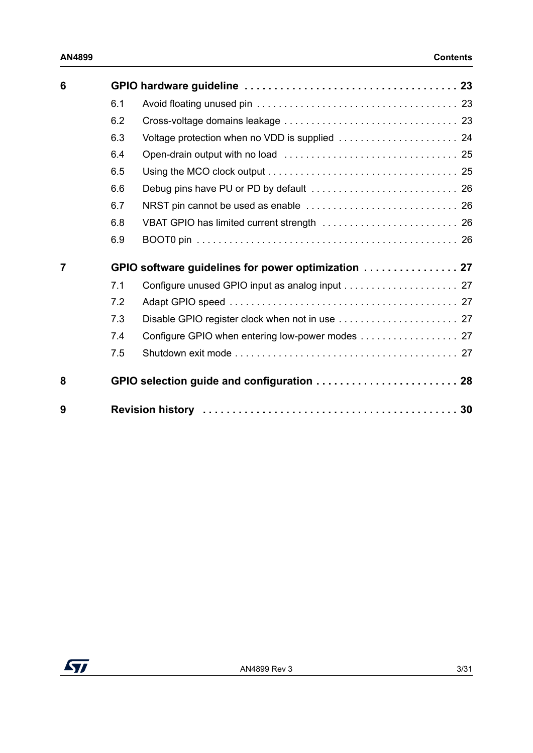| 6 |     |                                                     |
|---|-----|-----------------------------------------------------|
|   | 6.1 |                                                     |
|   | 6.2 |                                                     |
|   | 6.3 | Voltage protection when no VDD is supplied  24      |
|   | 6.4 |                                                     |
|   | 6.5 |                                                     |
|   | 6.6 |                                                     |
|   | 6.7 |                                                     |
|   | 6.8 |                                                     |
|   | 6.9 |                                                     |
| 7 |     | GPIO software guidelines for power optimization  27 |
|   | 7.1 |                                                     |
|   | 7.2 |                                                     |
|   | 7.3 |                                                     |
|   | 7.4 | Configure GPIO when entering low-power modes 27     |
|   | 7.5 |                                                     |
| 8 |     | GPIO selection guide and configuration  28          |
| 9 |     |                                                     |

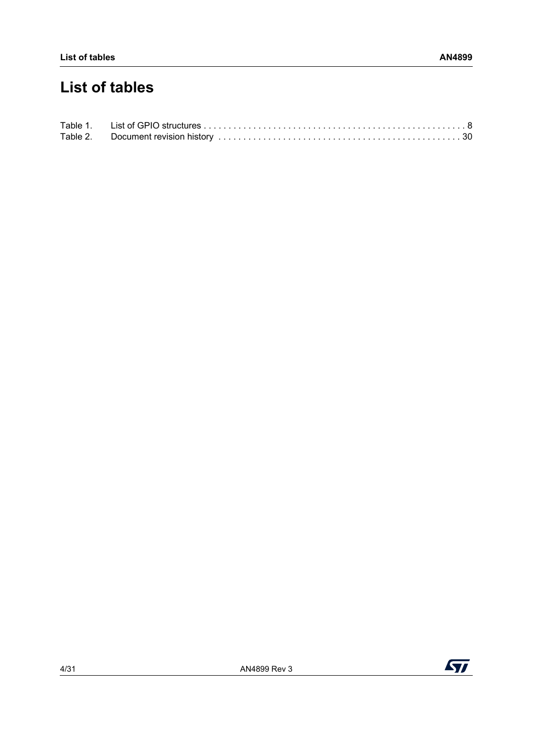# **List of tables**

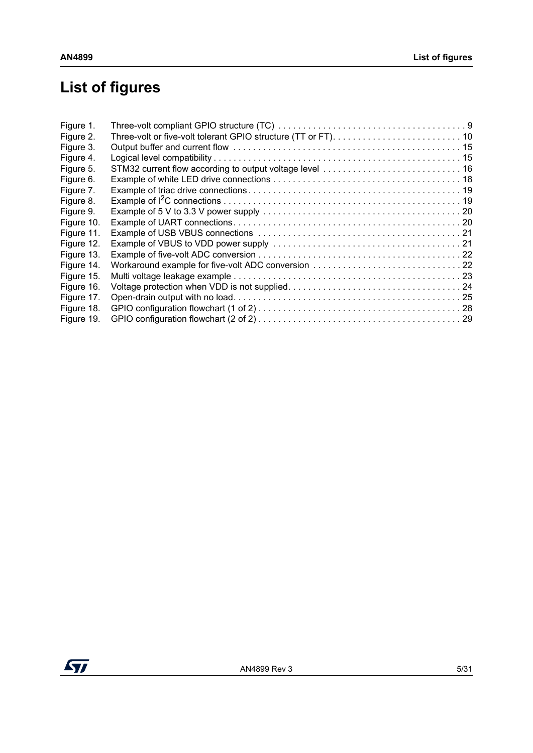# **List of figures**

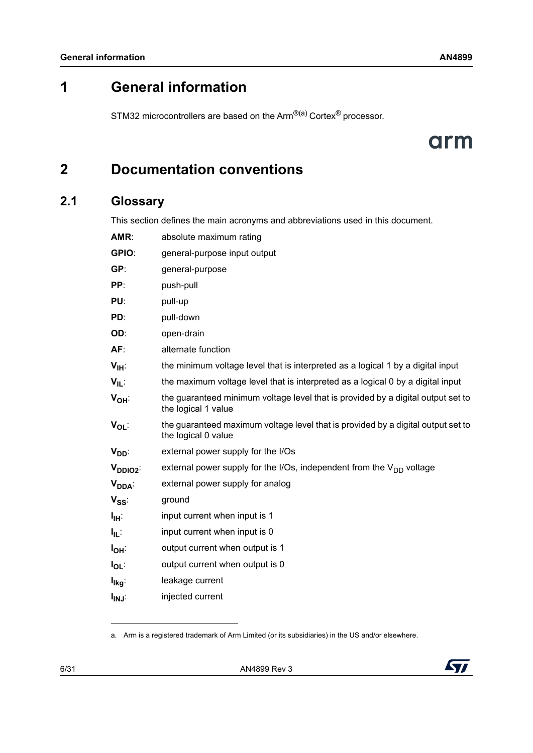## <span id="page-5-0"></span>**1 General information**

STM32 microcontrollers are based on the Arm<sup>®(a)</sup> Cortex<sup>®</sup> processor.

# arm

# <span id="page-5-1"></span>**2 Documentation conventions**

### <span id="page-5-2"></span>**2.1 Glossary**

This section defines the main acronyms and abbreviations used in this document.

| AMR:                         | absolute maximum rating                                                                                 |  |
|------------------------------|---------------------------------------------------------------------------------------------------------|--|
| GPIO:                        | general-purpose input output                                                                            |  |
| GP:                          | general-purpose                                                                                         |  |
| PP:                          | push-pull                                                                                               |  |
| PU:                          | pull-up                                                                                                 |  |
| PD:                          | pull-down                                                                                               |  |
| OD:                          | open-drain                                                                                              |  |
| AF:                          | alternate function                                                                                      |  |
| V <sub>IН</sub> :            | the minimum voltage level that is interpreted as a logical 1 by a digital input                         |  |
| V <sub>IL</sub> :            | the maximum voltage level that is interpreted as a logical 0 by a digital input                         |  |
| Ѵ <sub>он</sub> ∶            | the guaranteed minimum voltage level that is provided by a digital output set to<br>the logical 1 value |  |
| V <sub>OL</sub> :            | the guaranteed maximum voltage level that is provided by a digital output set to<br>the logical 0 value |  |
| V <sub>DD</sub> :            | external power supply for the I/Os                                                                      |  |
| V <sub>DDIO2</sub> :         | external power supply for the I/Os, independent from the $V_{DD}$ voltage                               |  |
| V <sub>DDA</sub> :           | external power supply for analog                                                                        |  |
| $\mathsf{V}_{\mathsf{SS}}$ . | ground                                                                                                  |  |
| Iщ÷                          | input current when input is 1                                                                           |  |
| lμ:                          | input current when input is 0                                                                           |  |
| l <sub>он</sub> ∶            | output current when output is 1                                                                         |  |
| lo∟                          | output current when output is 0                                                                         |  |
| l <sub>lkg</sub> :           | leakage current                                                                                         |  |
| l <sub>inj</sub> :           | injected current                                                                                        |  |

a. Arm is a registered trademark of Arm Limited (or its subsidiaries) in the US and/or elsewhere.

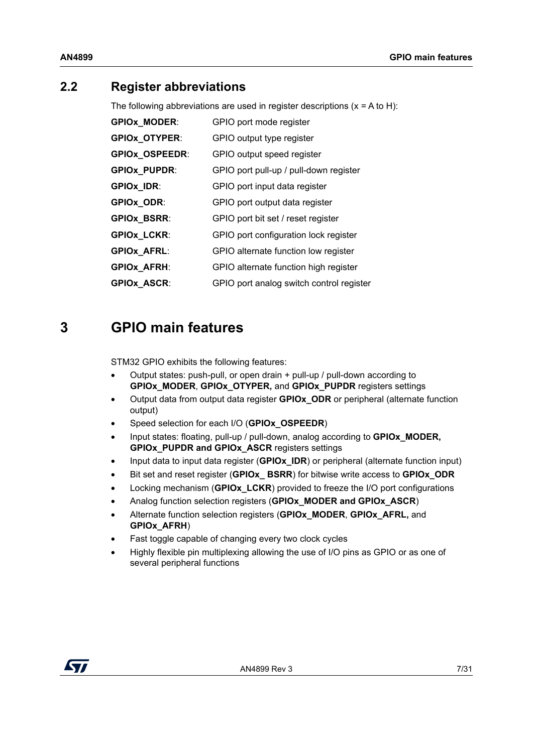### <span id="page-6-0"></span>**2.2 Register abbreviations**

The following abbreviations are used in register descriptions  $(x = A to H)$ :

| <b>GPIOX_MODER:</b>   | GPIO port mode register                  |
|-----------------------|------------------------------------------|
| <b>GPIOX_OTYPER:</b>  | GPIO output type register                |
| <b>GPIOX_OSPEEDR:</b> | GPIO output speed register               |
| <b>GPIOx_PUPDR:</b>   | GPIO port pull-up / pull-down register   |
| GPIOx_IDR:            | GPIO port input data register            |
| GPIOx_ODR:            | GPIO port output data register           |
| <b>GPIOX_BSRR:</b>    | GPIO port bit set / reset register       |
| <b>GPIOX_LCKR:</b>    | GPIO port configuration lock register    |
| <b>GPIOX_AFRL:</b>    | GPIO alternate function low register     |
| <b>GPIOX_AFRH:</b>    | GPIO alternate function high register    |
| <b>GPIOX ASCR:</b>    | GPIO port analog switch control register |

## <span id="page-6-1"></span>**3 GPIO main features**

STM32 GPIO exhibits the following features:

- Output states: push-pull, or open drain + pull-up / pull-down according to **GPIOx\_MODER**, **GPIOx\_OTYPER,** and **GPIOx\_PUPDR** registers settings
- Output data from output data register **GPIOx\_ODR** or peripheral (alternate function output)
- Speed selection for each I/O (**GPIOx\_OSPEEDR**)
- Input states: floating, pull-up / pull-down, analog according to **GPIOx\_MODER, GPIOx\_PUPDR and GPIOx\_ASCR** registers settings
- Input data to input data register (**GPIOx\_IDR**) or peripheral (alternate function input)
- Bit set and reset register (**GPIOx\_ BSRR**) for bitwise write access to **GPIOx\_ODR**
- Locking mechanism (**GPIOx\_LCKR**) provided to freeze the I/O port configurations
- Analog function selection registers (**GPIOx\_MODER and GPIOx\_ASCR**)
- Alternate function selection registers (**GPIOx\_MODER**, **GPIOx\_AFRL,** and **GPIOx\_AFRH**)
- Fast toggle capable of changing every two clock cycles
- Highly flexible pin multiplexing allowing the use of I/O pins as GPIO or as one of several peripheral functions

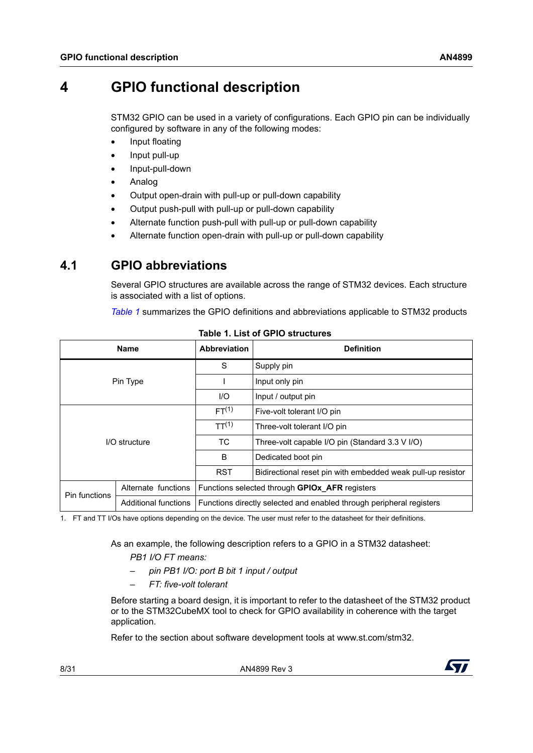## <span id="page-7-0"></span>**4 GPIO functional description**

STM32 GPIO can be used in a variety of configurations. Each GPIO pin can be individually configured by software in any of the following modes:

- Input floating
- Input pull-up
- Input-pull-down
- Analog
- Output open-drain with pull-up or pull-down capability
- Output push-pull with pull-up or pull-down capability
- Alternate function push-pull with pull-up or pull-down capability
- Alternate function open-drain with pull-up or pull-down capability

### <span id="page-7-1"></span>**4.1 GPIO abbreviations**

Several GPIO structures are available across the range of STM32 devices. Each structure is associated with a list of options.

*[Table](#page-7-2) 1* summarizes the GPIO definitions and abbreviations applicable to STM32 products

<span id="page-7-2"></span>

| <b>Name</b>   |                             | <b>Abbreviation</b>                                                  | <b>Definition</b>                                           |  |
|---------------|-----------------------------|----------------------------------------------------------------------|-------------------------------------------------------------|--|
| Pin Type      |                             | S                                                                    | Supply pin                                                  |  |
|               |                             |                                                                      | Input only pin                                              |  |
|               |                             | 1/O                                                                  | Input / output pin                                          |  |
| I/O structure |                             | FT <sup>(1)</sup>                                                    | Five-volt tolerant I/O pin                                  |  |
|               |                             | TT <sup>(1)</sup>                                                    | Three-volt tolerant I/O pin                                 |  |
|               |                             | TC.                                                                  | Three-volt capable I/O pin (Standard 3.3 V I/O)             |  |
|               |                             | B                                                                    | Dedicated boot pin                                          |  |
|               |                             | <b>RST</b>                                                           | Bidirectional reset pin with embedded weak pull-up resistor |  |
| Pin functions | Alternate functions         | Functions selected through GPIOx_AFR registers                       |                                                             |  |
|               | <b>Additional functions</b> | Functions directly selected and enabled through peripheral registers |                                                             |  |

**Table 1. List of GPIO structures** 

<span id="page-7-3"></span>1. FT and TT I/Os have options depending on the device. The user must refer to the datasheet for their definitions.

As an example, the following description refers to a GPIO in a STM32 datasheet:

*PB1 I/O FT means:*

- *pin PB1 I/O: port B bit 1 input / output*
- *FT: five-volt tolerant*

Before starting a board design, it is important to refer to the datasheet of the STM32 product or to the STM32CubeMX tool to check for GPIO availability in coherence with the target application.

Refer to the section about software development tools at www.st.com/stm32.

8/[31](#page-30-0) AN4899 Rev 3

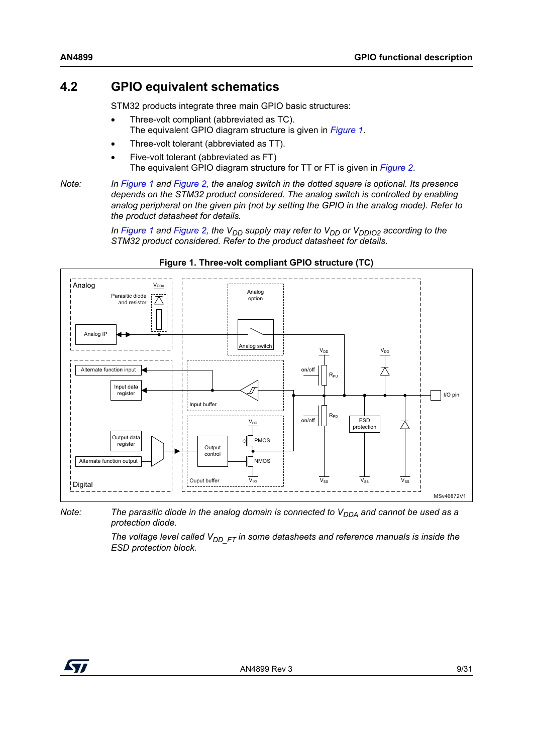### <span id="page-8-0"></span>**4.2 GPIO equivalent schematics**

STM32 products integrate three main GPIO basic structures:

- Three-volt compliant (abbreviated as TC). The equivalent GPIO diagram structure is given in *[Figure 1](#page-8-1)*.
- Three-volt tolerant (abbreviated as TT).
- Five-volt tolerant (abbreviated as FT) The equivalent GPIO diagram structure for TT or FT is given in *[Figure 2](#page-9-2)*.

*Note: In [Figure](#page-8-1) 1 and [Figure](#page-9-2) 2, the analog switch in the dotted square is optional. Its presence depends on the STM32 product considered. The analog switch is controlled by enabling analog peripheral on the given pin (not by setting the GPIO in the analog mode). Refer to the product datasheet for details.*

> *In [Figure](#page-8-1)* 1 and *[Figure](#page-9-2)* 2, the V<sub>DD</sub> supply may refer to V<sub>DD</sub> or V<sub>DDIO2</sub> according to the *STM32 product considered. Refer to the product datasheet for details.*

<span id="page-8-1"></span>

#### **Figure 1. Three-volt compliant GPIO structure (TC)**

*Note:* The parasitic diode in the analog domain is connected to V<sub>DDA</sub> and cannot be used as a *protection diode.*

> The voltage level called  $V_{DD-FT}$  in some datasheets and reference manuals is inside the *ESD protection block.*

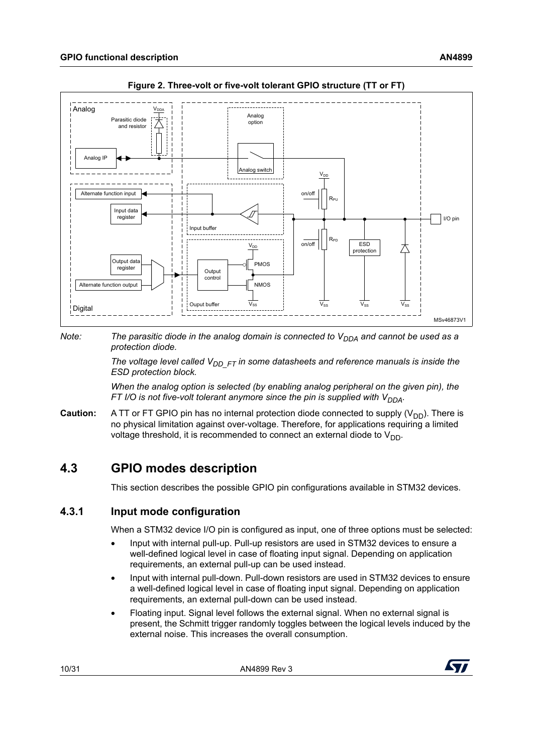<span id="page-9-2"></span>



#### *Note:* The parasitic diode in the analog domain is connected to V<sub>DDA</sub> and cannot be used as a *protection diode.*

The voltage level called V<sub>DD\_FT</sub> in some datasheets and reference manuals is inside the *ESD protection block.*

*When the analog option is selected (by enabling analog peripheral on the given pin), the FT I/O is not five-volt tolerant anymore since the pin is supplied with V<sub>DDA</sub>.* 

**Caution:** A TT or FT GPIO pin has no internal protection diode connected to supply (V<sub>DD</sub>). There is no physical limitation against over-voltage. Therefore, for applications requiring a limited voltage threshold, it is recommended to connect an external diode to  $V_{DD}$ .

### <span id="page-9-0"></span>**4.3 GPIO modes description**

This section describes the possible GPIO pin configurations available in STM32 devices.

#### <span id="page-9-1"></span>**4.3.1 Input mode configuration**

When a STM32 device I/O pin is configured as input, one of three options must be selected:

- Input with internal pull-up. Pull-up resistors are used in STM32 devices to ensure a well-defined logical level in case of floating input signal. Depending on application requirements, an external pull-up can be used instead.
- Input with internal pull-down. Pull-down resistors are used in STM32 devices to ensure a well-defined logical level in case of floating input signal. Depending on application requirements, an external pull-down can be used instead.
- Floating input. Signal level follows the external signal. When no external signal is present, the Schmitt trigger randomly toggles between the logical levels induced by the external noise. This increases the overall consumption.

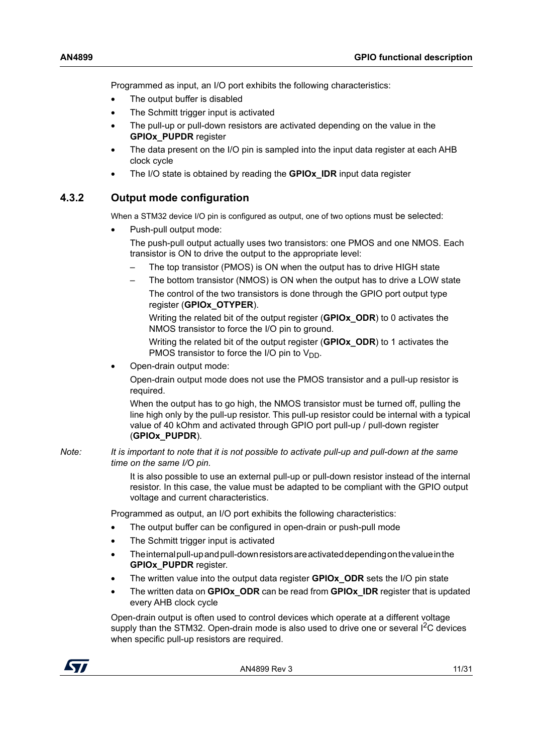Programmed as input, an I/O port exhibits the following characteristics:

- The output buffer is disabled
- The Schmitt trigger input is activated
- The pull-up or pull-down resistors are activated depending on the value in the **GPIOx\_PUPDR** register
- The data present on the I/O pin is sampled into the input data register at each AHB clock cycle
- The I/O state is obtained by reading the **GPIOx\_IDR** input data register

#### <span id="page-10-0"></span>**4.3.2 Output mode configuration**

When a STM32 device I/O pin is configured as output, one of two options must be selected:

- Push-pull output mode:
	- The push-pull output actually uses two transistors: one PMOS and one NMOS. Each transistor is ON to drive the output to the appropriate level:
	- The top transistor (PMOS) is ON when the output has to drive HIGH state
	- The bottom transistor (NMOS) is ON when the output has to drive a LOW state The control of the two transistors is done through the GPIO port output type register (**GPIOx\_OTYPER**).

Writing the related bit of the output register (**GPIOx\_ODR**) to 0 activates the NMOS transistor to force the I/O pin to ground.

Writing the related bit of the output register (**GPIOx\_ODR**) to 1 activates the PMOS transistor to force the I/O pin to  $V_{DD}$ .

• Open-drain output mode:

Open-drain output mode does not use the PMOS transistor and a pull-up resistor is required.

When the output has to go high, the NMOS transistor must be turned off, pulling the line high only by the pull-up resistor. This pull-up resistor could be internal with a typical value of 40 kOhm and activated through GPIO port pull-up / pull-down register (**GPIOx\_PUPDR**).

*Note: It is important to note that it is not possible to activate pull-up and pull-down at the same time on the same I/O pin.*

> It is also possible to use an external pull-up or pull-down resistor instead of the internal resistor. In this case, the value must be adapted to be compliant with the GPIO output voltage and current characteristics.

Programmed as output, an I/O port exhibits the following characteristics:

- The output buffer can be configured in open-drain or push-pull mode
- The Schmitt trigger input is activated
- The internal pull-up and pull-down resistors are activated depending on the value in the **GPIOx\_PUPDR** register.
- The written value into the output data register **GPIOx\_ODR** sets the I/O pin state
- The written data on **GPIOx\_ODR** can be read from **GPIOx\_IDR** register that is updated every AHB clock cycle

Open-drain output is often used to control devices which operate at a different voltage supply than the STM32. Open-drain mode is also used to drive one or several  ${}^{12}C$  devices when specific pull-up resistors are required.

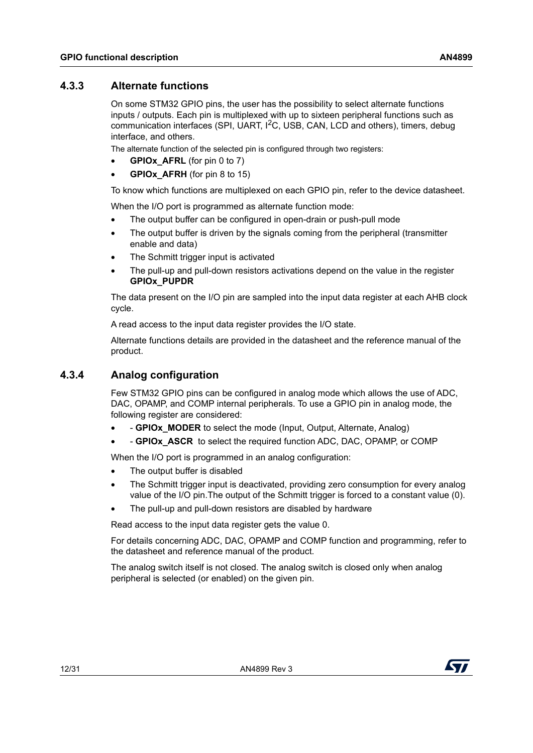#### <span id="page-11-0"></span>**4.3.3 Alternate functions**

On some STM32 GPIO pins, the user has the possibility to select alternate functions inputs / outputs. Each pin is multiplexed with up to sixteen peripheral functions such as communication interfaces (SPI, UART,  $I<sup>2</sup>C$ , USB, CAN, LCD and others), timers, debug interface, and others.

The alternate function of the selected pin is configured through two registers:

- **GPIOX AFRL** (for pin 0 to 7)
- **GPIOX AFRH** (for pin 8 to 15)

To know which functions are multiplexed on each GPIO pin, refer to the device datasheet.

When the I/O port is programmed as alternate function mode:

- The output buffer can be configured in open-drain or push-pull mode
- The output buffer is driven by the signals coming from the peripheral (transmitter enable and data)
- The Schmitt trigger input is activated
- The pull-up and pull-down resistors activations depend on the value in the register **GPIOx\_PUPDR**

The data present on the I/O pin are sampled into the input data register at each AHB clock cycle.

A read access to the input data register provides the I/O state.

Alternate functions details are provided in the datasheet and the reference manual of the product.

#### <span id="page-11-1"></span>**4.3.4 Analog configuration**

Few STM32 GPIO pins can be configured in analog mode which allows the use of ADC, DAC, OPAMP, and COMP internal peripherals. To use a GPIO pin in analog mode, the following register are considered:

- **GPIOx MODER** to select the mode (Input, Output, Alternate, Analog)
- - **GPIOx\_ASCR** to select the required function ADC, DAC, OPAMP, or COMP

When the I/O port is programmed in an analog configuration:

- The output buffer is disabled
- The Schmitt trigger input is deactivated, providing zero consumption for every analog value of the I/O pin.The output of the Schmitt trigger is forced to a constant value (0).
- The pull-up and pull-down resistors are disabled by hardware

Read access to the input data register gets the value 0.

For details concerning ADC, DAC, OPAMP and COMP function and programming, refer to the datasheet and reference manual of the product.

The analog switch itself is not closed. The analog switch is closed only when analog peripheral is selected (or enabled) on the given pin.

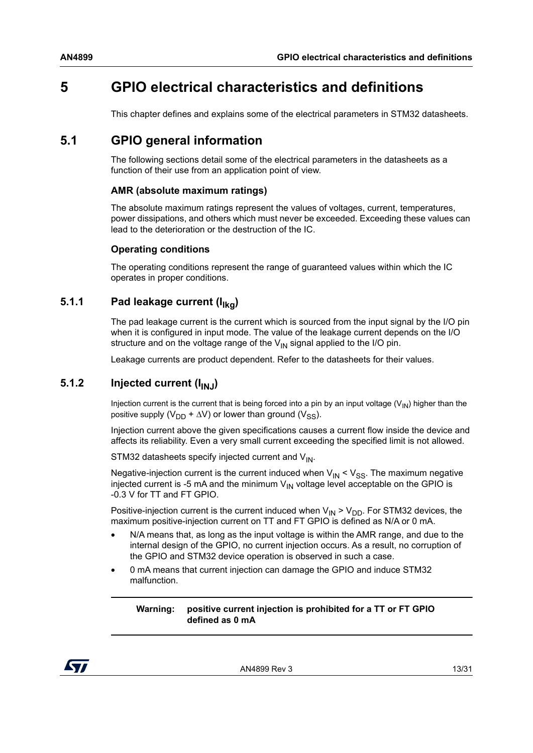## <span id="page-12-0"></span>**5 GPIO electrical characteristics and definitions**

This chapter defines and explains some of the electrical parameters in STM32 datasheets.

### <span id="page-12-1"></span>**5.1 GPIO general information**

The following sections detail some of the electrical parameters in the datasheets as a function of their use from an application point of view.

#### **AMR (absolute maximum ratings)**

The absolute maximum ratings represent the values of voltages, current, temperatures, power dissipations, and others which must never be exceeded. Exceeding these values can lead to the deterioration or the destruction of the IC.

#### **Operating conditions**

The operating conditions represent the range of guaranteed values within which the IC operates in proper conditions.

#### <span id="page-12-2"></span>**5.1.1** Pad leakage current (I<sub>lkg</sub>)

The pad leakage current is the current which is sourced from the input signal by the I/O pin when it is configured in input mode. The value of the leakage current depends on the I/O structure and on the voltage range of the  $V_{1N}$  signal applied to the I/O pin.

Leakage currents are product dependent. Refer to the datasheets for their values.

#### <span id="page-12-3"></span>**5.1.2** Injected current ( $I_{IN,I}$ )

Injection current is the current that is being forced into a pin by an input voltage  $(V_{N})$  higher than the positive supply (V<sub>DD</sub> +  $\Delta$ V) or lower than ground (V<sub>SS</sub>).

Injection current above the given specifications causes a current flow inside the device and affects its reliability. Even a very small current exceeding the specified limit is not allowed.

STM32 datasheets specify injected current and  $V_{\text{IN}}$ .

Negative-injection current is the current induced when  $V_{IN} < V_{SS}$ . The maximum negative injected current is -5 mA and the minimum  $V_{1N}$  voltage level acceptable on the GPIO is -0.3 V for TT and FT GPIO.

Positive-injection current is the current induced when  $V_{IN}$  >  $V_{DD}$ . For STM32 devices, the maximum positive-injection current on TT and FT GPIO is defined as N/A or 0 mA.

- N/A means that, as long as the input voltage is within the AMR range, and due to the internal design of the GPIO, no current injection occurs. As a result, no corruption of the GPIO and STM32 device operation is observed in such a case.
- 0 mA means that current injection can damage the GPIO and induce STM32 malfunction.

**Warning: positive current injection is prohibited for a TT or FT GPIO defined as 0 mA**

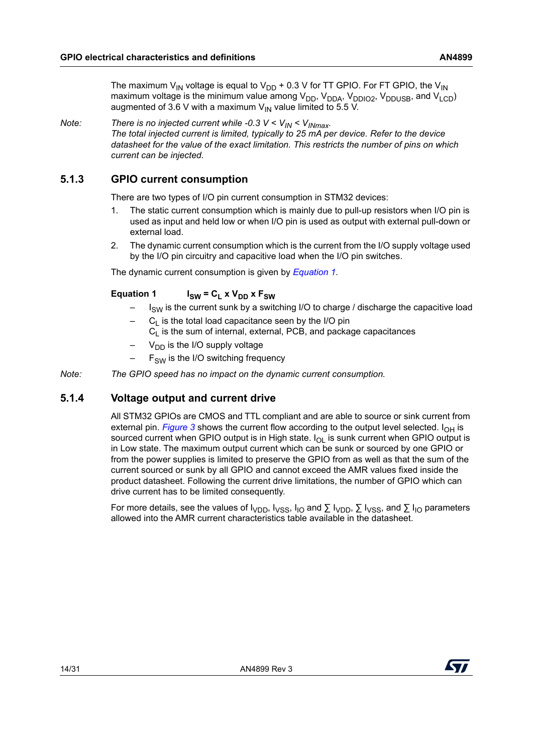The maximum V<sub>IN</sub> voltage is equal to V<sub>DD</sub> + 0.3 V for TT GPIO. For FT GPIO, the V<sub>IN</sub> maximum voltage is the minimum value among  $V_{DD}$ ,  $V_{DDAA}$ ,  $V_{DDIO2}$ ,  $V_{DDUSE}$ , and  $V_{LCD}$ ) augmented of 3.6 V with a maximum  $V_{\text{IN}}$  value limited to 5.5 V.

#### *Note:* There is no injected current while -0.3  $V < V_{IN} < V_{IMmax}$ .

*The total injected current is limited, typically to 25 mA per device. Refer to the device datasheet for the value of the exact limitation. This restricts the number of pins on which current can be injected.*

#### <span id="page-13-0"></span>**5.1.3 GPIO current consumption**

There are two types of I/O pin current consumption in STM32 devices:

- 1. The static current consumption which is mainly due to pull-up resistors when I/O pin is used as input and held low or when I/O pin is used as output with external pull-down or external load.
- 2. The dynamic current consumption which is the current from the I/O supply voltage used by the I/O pin circuitry and capacitive load when the I/O pin switches.

The dynamic current consumption is given by *[Equation 1](#page-13-2)*.

#### <span id="page-13-2"></span>**Equation 1**  $I_{SW} = C_L \times V_{DD} \times F_{SW}$

- $I<sub>SW</sub>$  is the current sunk by a switching I/O to charge / discharge the capacitive load
- $C<sub>1</sub>$  is the total load capacitance seen by the I/O pin  $C<sub>l</sub>$  is the sum of internal, external, PCB, and package capacitances
- $V_{DD}$  is the I/O supply voltage
- $-$  F<sub>SW</sub> is the I/O switching frequency
- *Note: The GPIO speed has no impact on the dynamic current consumption.*

#### <span id="page-13-1"></span>**5.1.4 Voltage output and current drive**

All STM32 GPIOs are CMOS and TTL compliant and are able to source or sink current from external pin. *[Figure](#page-14-0)* 3 shows the current flow according to the output level selected.  $I_{OH}$  is sourced current when GPIO output is in High state.  $I_{\Omega}$  is sunk current when GPIO output is in Low state. The maximum output current which can be sunk or sourced by one GPIO or from the power supplies is limited to preserve the GPIO from as well as that the sum of the current sourced or sunk by all GPIO and cannot exceed the AMR values fixed inside the product datasheet. Following the current drive limitations, the number of GPIO which can drive current has to be limited consequently.

For more details, see the values of  $I_{VDD}$ ,  $I_{VSS}$ ,  $I_{IO}$  and  $\Sigma I_{VDD}$ ,  $\Sigma I_{VSS}$ , and  $\Sigma I_{IO}$  parameters allowed into the AMR current characteristics table available in the datasheet.

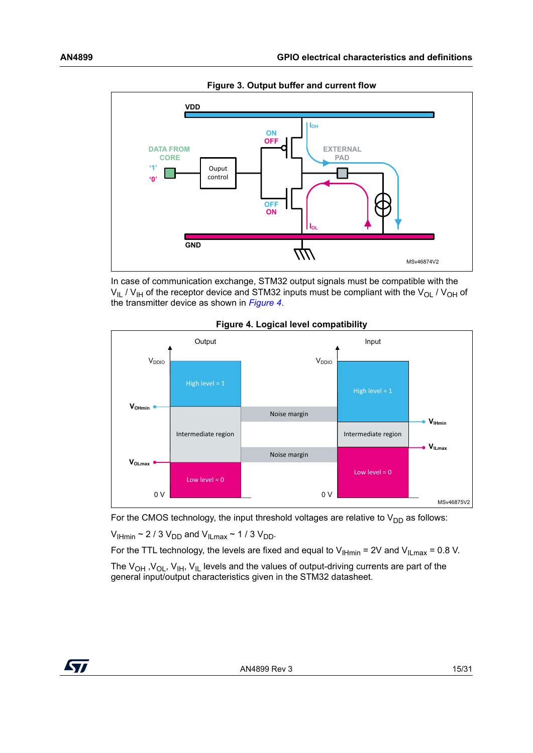<span id="page-14-0"></span>

**Figure 3. Output buffer and current flow**

In case of communication exchange, STM32 output signals must be compatible with the  $V_{II}$  /  $V_{IH}$  of the receptor device and STM32 inputs must be compliant with the  $V_{OI}$  /  $V_{OH}$  of the transmitter device as shown in *[Figure](#page-14-1) 4*.

<span id="page-14-1"></span>

**Figure 4. Logical level compatibility**

For the CMOS technology, the input threshold voltages are relative to  $V_{DD}$  as follows:

 $V_{\text{IHmin}} \sim 2/3 V_{\text{DD}}$  and  $V_{\text{ILmax}} \sim 1/3 V_{\text{DD}}$ .

For the TTL technology, the levels are fixed and equal to  $V_{\text{H-min}}$  = 2V and  $V_{\text{ILmax}}$  = 0.8 V.

The  $V_{OH}$ ,  $V_{OL}$ ,  $V_{IH}$ ,  $V_{IL}$  levels and the values of output-driving currents are part of the general input/output characteristics given in the STM32 datasheet.

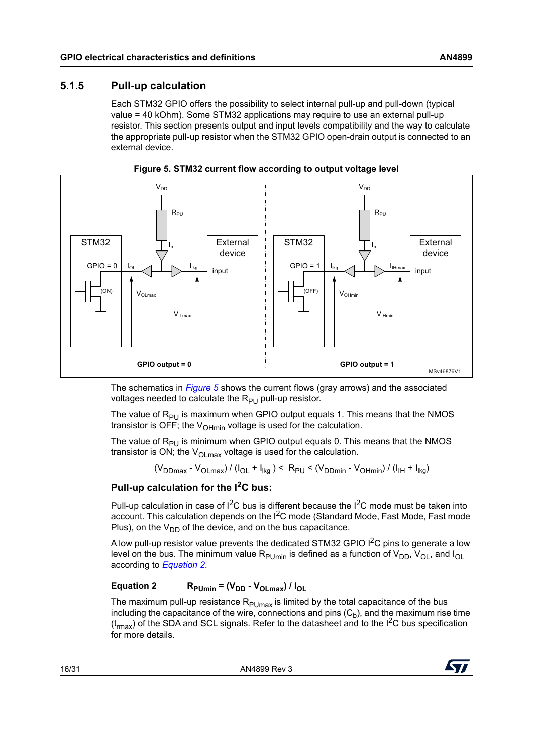#### <span id="page-15-0"></span>**5.1.5 Pull-up calculation**

Each STM32 GPIO offers the possibility to select internal pull-up and pull-down (typical value = 40 kOhm). Some STM32 applications may require to use an external pull-up resistor. This section presents output and input levels compatibility and the way to calculate the appropriate pull-up resistor when the STM32 GPIO open-drain output is connected to an external device.

<span id="page-15-1"></span>



The schematics in *[Figure](#page-15-1) 5* shows the current flows (gray arrows) and the associated voltages needed to calculate the  $R_{PI}$  pull-up resistor.

The value of  $R_{PU}$  is maximum when GPIO output equals 1. This means that the NMOS transistor is OFF; the  $V_{\text{OHmin}}$  voltage is used for the calculation.

The value of  $R_{PU}$  is minimum when GPIO output equals 0. This means that the NMOS transistor is ON; the  $V_{OLmax}$  voltage is used for the calculation.

 $(V_{DDmax} - V_{OLmax}) / (I_{OL} + I_{ika}) < R_{PU} < (V_{DDmin} - V_{OHmin}) / (I_{IH} + I_{ika})$ 

#### **Pull-up calculation for the I2C bus:**

Pull-up calculation in case of  $I^2C$  bus is different because the  $I^2C$  mode must be taken into account. This calculation depends on the I<sup>2</sup>C mode (Standard Mode, Fast Mode, Fast mode Plus), on the  $V_{DD}$  of the device, and on the bus capacitance.

A low pull-up resistor value prevents the dedicated STM32 GPIO  $I^2C$  pins to generate a low level on the bus. The minimum value  $R_{\text{PUmin}}$  is defined as a function of  $V_{\text{DD}}$ ,  $V_{\text{OL}}$ , and  $I_{\text{OL}}$ according to *[Equation 2](#page-15-2)*.

#### <span id="page-15-2"></span>**Equation 2** R<sub>PUmin</sub> =  $(V_{DD} - V_{Ol \, max}) / I_{Ol}$

The maximum pull-up resistance  $R_{\text{PUMax}}$  is limited by the total capacitance of the bus including the capacitance of the wire, connections and pins  $(C_h)$ , and the maximum rise time  $(t<sub>max</sub>)$  of the SDA and SCL signals. Refer to the datasheet and to the  $1<sup>2</sup>C$  bus specification for more details.

16/[31](#page-30-0) AN4899 Rev 3

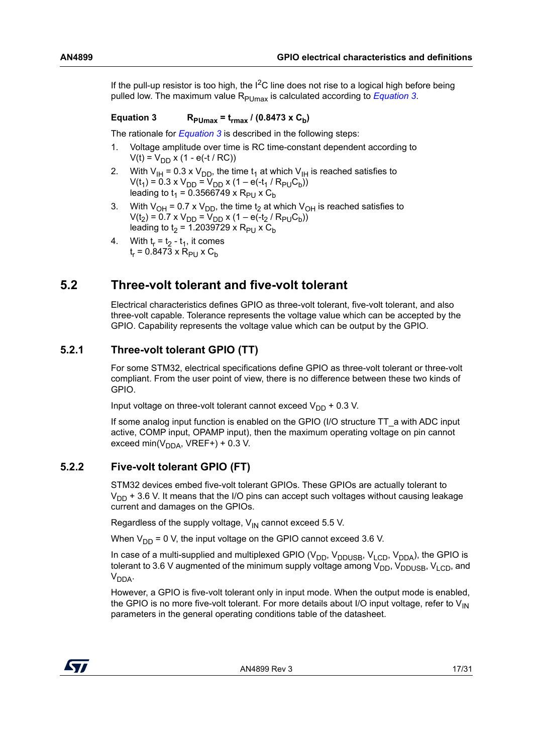If the pull-up resistor is too high, the  $I^2C$  line does not rise to a logical high before being pulled low. The maximum value R<sub>PUmax</sub> is calculated according to *[Equation 3](#page-16-3)*.

#### <span id="page-16-3"></span>Equation 3  $R_{\text{Pl} \text{max}} = t_{\text{max}} / (0.8473 \times C_{\text{h}})$

The rationale for *[Equation 3](#page-16-3)* is described in the following steps:

- 1. Voltage amplitude over time is RC time-constant dependent according to  $V(t) = V_{DD} x (1 - e(-t / RC))$
- 2. With  $V_{\text{IH}} = 0.3 \times V_{\text{DD}}$ , the time  $t_1$  at which  $V_{\text{IH}}$  is reached satisfies to  $V(t_1) = 0.3 \times V_{DD} = V_{DD} \times (1 - e(-t_1 / R_{PU}C_b))$ leading to  $t_1 = 0.3566749 \times R_{PU} \times C_b$
- 3. With V<sub>OH</sub> = 0.7 x V<sub>DD</sub>, the time t<sub>2</sub> at which V<sub>OH</sub> is reached satisfies to  $V(t_2) = 0.7 \times V_{DD} = V_{DD} \times (1 - e(-t_2 / R_{PU}C_b))$ leading to  $t_2$  = 1.2039729 x R<sub>PU</sub> x C<sub>b</sub>
- 4. With  $t_r = t_2 t_1$ , it comes  $t_r = 0.8473 \times R_{P11} \times C_b$

### <span id="page-16-0"></span>**5.2 Three-volt tolerant and five-volt tolerant**

Electrical characteristics defines GPIO as three-volt tolerant, five-volt tolerant, and also three-volt capable. Tolerance represents the voltage value which can be accepted by the GPIO. Capability represents the voltage value which can be output by the GPIO.

#### <span id="page-16-1"></span>**5.2.1 Three-volt tolerant GPIO (TT)**

For some STM32, electrical specifications define GPIO as three-volt tolerant or three-volt compliant. From the user point of view, there is no difference between these two kinds of GPIO.

Input voltage on three-volt tolerant cannot exceed  $V_{DD}$  + 0.3 V.

If some analog input function is enabled on the GPIO (I/O structure TT\_a with ADC input active, COMP input, OPAMP input), then the maximum operating voltage on pin cannot exceed min( $V_{\text{DDA}}$ , VREF+) + 0.3 V.

#### <span id="page-16-2"></span>**5.2.2 Five-volt tolerant GPIO (FT)**

STM32 devices embed five-volt tolerant GPIOs. These GPIOs are actually tolerant to  $V_{DD}$  + 3.6 V. It means that the I/O pins can accept such voltages without causing leakage current and damages on the GPIOs.

Regardless of the supply voltage,  $V_{IN}$  cannot exceed 5.5 V.

When  $V_{DD}$  = 0 V, the input voltage on the GPIO cannot exceed 3.6 V.

In case of a multi-supplied and multiplexed GPIO ( $V_{DD}$ ,  $V_{DDUSE}$ ,  $V_{LCD}$ ,  $V_{DDA}$ ), the GPIO is tolerant to 3.6 V augmented of the minimum supply voltage among  $V_{DD}$ ,  $V_{DDUSB}$ ,  $V_{LCD}$ , and  $V_{DDA}$ 

However, a GPIO is five-volt tolerant only in input mode. When the output mode is enabled, the GPIO is no more five-volt tolerant. For more details about I/O input voltage, refer to  $V_{IN}$ parameters in the general operating conditions table of the datasheet.

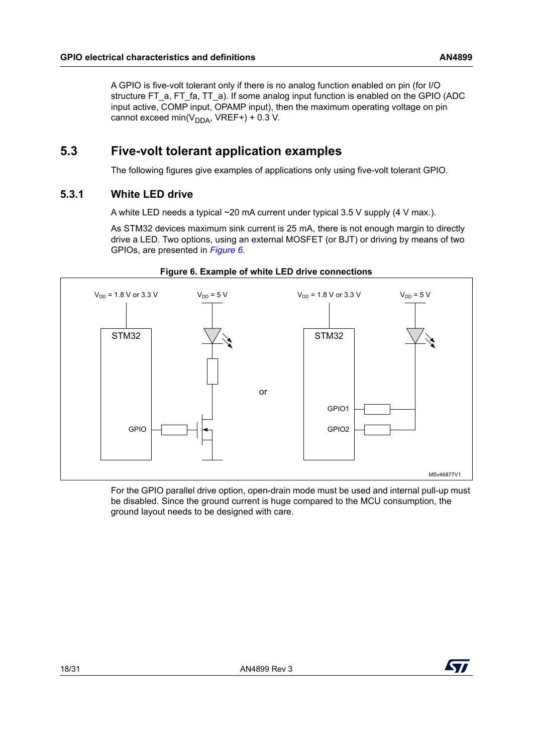A GPIO is five-volt tolerant only if there is no analog function enabled on pin (for I/O structure FT\_a, FT\_fa, TT\_a). If some analog input function is enabled on the GPIO (ADC input active, COMP input, OPAMP input), then the maximum operating voltage on pin cannot exceed min( $V_{\text{DDA}}$ , VREF+) + 0.3 V.

### <span id="page-17-0"></span>**5.3 Five-volt tolerant application examples**

The following figures give examples of applications only using five-volt tolerant GPIO.

#### <span id="page-17-1"></span>**5.3.1 White LED drive**

A white LED needs a typical ~20 mA current under typical 3.5 V supply (4 V max.).

As STM32 devices maximum sink current is 25 mA, there is not enough margin to directly drive a LED. Two options, using an external MOSFET (or BJT) or driving by means of two GPIOs, are presented in *[Figure](#page-17-2) 6*.

<span id="page-17-2"></span>

#### **Figure 6. Example of white LED drive connections**

For the GPIO parallel drive option, open-drain mode must be used and internal pull-up must be disabled. Since the ground current is huge compared to the MCU consumption, the ground layout needs to be designed with care.

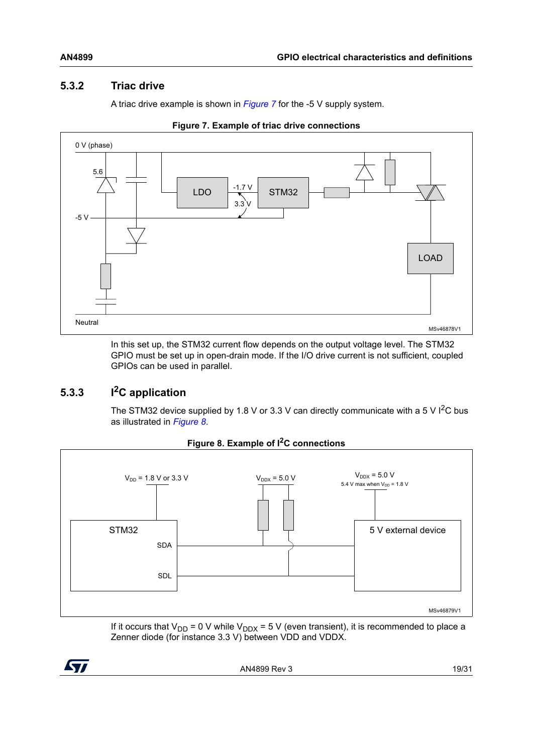#### <span id="page-18-0"></span>**5.3.2 Triac drive**

A triac drive example is shown in *[Figure](#page-18-2) 7* for the -5 V supply system.

<span id="page-18-2"></span>

**Figure 7. Example of triac drive connections**

In this set up, the STM32 current flow depends on the output voltage level. The STM32 GPIO must be set up in open-drain mode. If the I/O drive current is not sufficient, coupled GPIOs can be used in parallel.

### <span id="page-18-1"></span>**5.3.3 I2C application**

The STM32 device supplied by 1.8 V or 3.3 V can directly communicate with a 5 V  $1^2C$  bus as illustrated in *[Figure](#page-18-3) 8*.

<span id="page-18-3"></span>

**Figure 8. Example of I2C connections**

If it occurs that V<sub>DD</sub> = 0 V while V<sub>DDX</sub> = 5 V (even transient), it is recommended to place a Zenner diode (for instance 3.3 V) between VDD and VDDX.

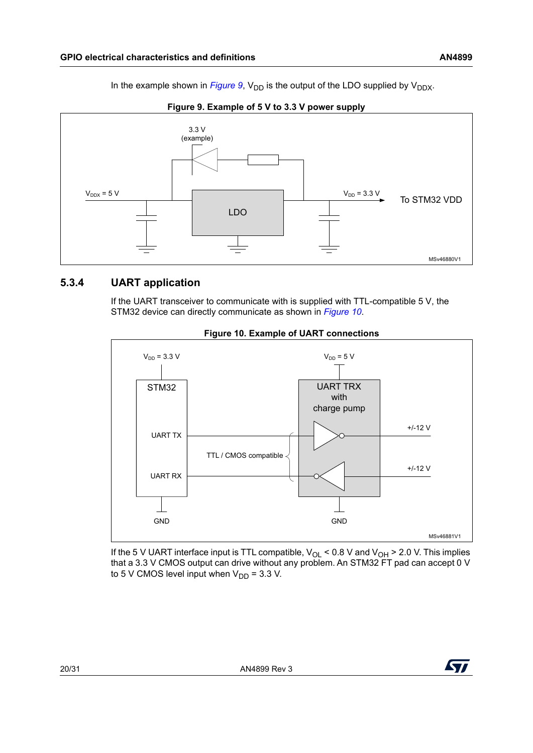In the example shown in *[Figure](#page-19-1)* 9,  $V_{DD}$  is the output of the LDO supplied by  $V_{DDX}$ .

<span id="page-19-1"></span>

**Figure 9. Example of 5 V to 3.3 V power supply**

#### <span id="page-19-0"></span>**5.3.4 UART application**

If the UART transceiver to communicate with is supplied with TTL-compatible 5 V, the STM32 device can directly communicate as shown in *[Figure](#page-19-2) 10*.

<span id="page-19-2"></span>

#### **Figure 10. Example of UART connections**

If the 5 V UART interface input is TTL compatible,  $V_{OL}$  < 0.8 V and  $V_{OH}$  > 2.0 V. This implies that a 3.3 V CMOS output can drive without any problem. An STM32 FT pad can accept 0 V to 5 V CMOS level input when  $V_{DD}$  = 3.3 V.

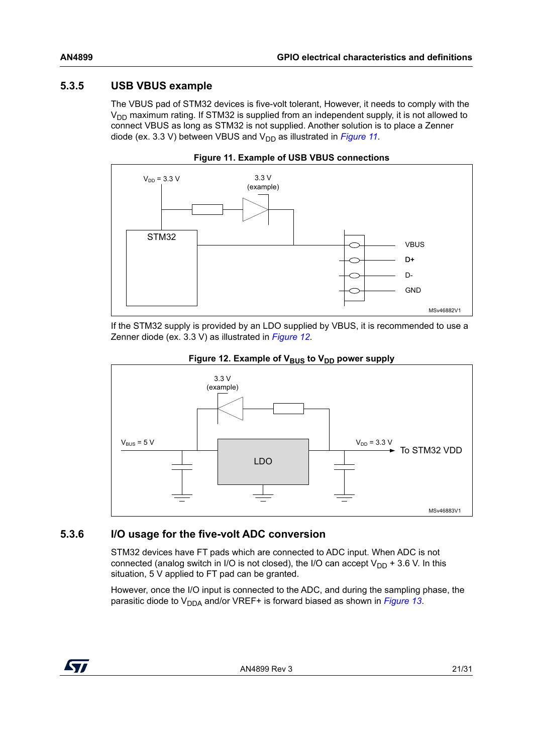#### <span id="page-20-0"></span>**5.3.5 USB VBUS example**

The VBUS pad of STM32 devices is five-volt tolerant, However, it needs to comply with the  $V_{DD}$  maximum rating. If STM32 is supplied from an independent supply, it is not allowed to connect VBUS as long as STM32 is not supplied. Another solution is to place a Zenner diode (ex. 3.3 V) between VBUS and  $V_{DD}$  as illustrated in *[Figure](#page-20-2) 11*.

<span id="page-20-2"></span>



If the STM32 supply is provided by an LDO supplied by VBUS, it is recommended to use a Zenner diode (ex. 3.3 V) as illustrated in *[Figure](#page-20-3) 12*.

<span id="page-20-3"></span>

#### Figure 12. Example of V<sub>BUS</sub> to V<sub>DD</sub> power supply

#### <span id="page-20-1"></span>**5.3.6 I/O usage for the five-volt ADC conversion**

STM32 devices have FT pads which are connected to ADC input. When ADC is not connected (analog switch in I/O is not closed), the I/O can accept  $V_{DD}$  + 3.6 V. In this situation, 5 V applied to FT pad can be granted.

However, once the I/O input is connected to the ADC, and during the sampling phase, the parasitic diode to V<sub>DDA</sub> and/or VREF+ is forward biased as shown in *[Figure](#page-21-0) 13*.

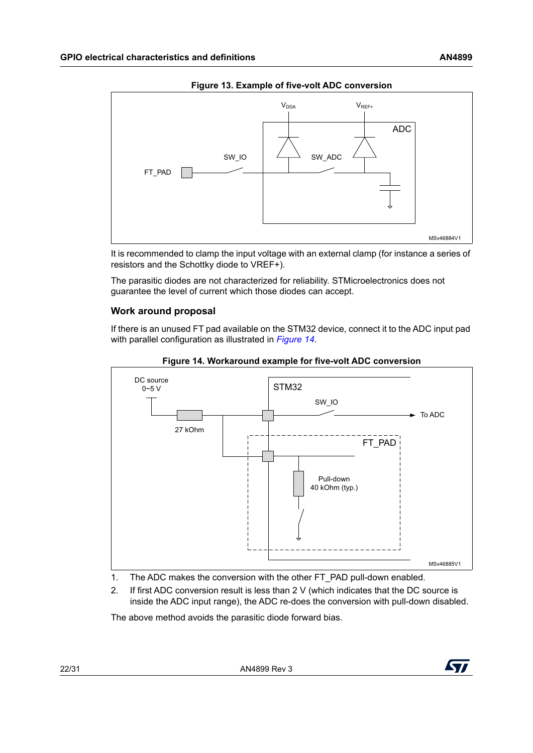<span id="page-21-0"></span>

**Figure 13. Example of five-volt ADC conversion**

It is recommended to clamp the input voltage with an external clamp (for instance a series of resistors and the Schottky diode to VREF+).

The parasitic diodes are not characterized for reliability. STMicroelectronics does not guarantee the level of current which those diodes can accept.

#### **Work around proposal**

If there is an unused FT pad available on the STM32 device, connect it to the ADC input pad with parallel configuration as illustrated in *[Figure](#page-21-1) 14*.

<span id="page-21-1"></span>

**Figure 14. Workaround example for five-volt ADC conversion**

- 1. The ADC makes the conversion with the other FT\_PAD pull-down enabled.
- 2. If first ADC conversion result is less than 2 V (which indicates that the DC source is inside the ADC input range), the ADC re-does the conversion with pull-down disabled.

The above method avoids the parasitic diode forward bias.

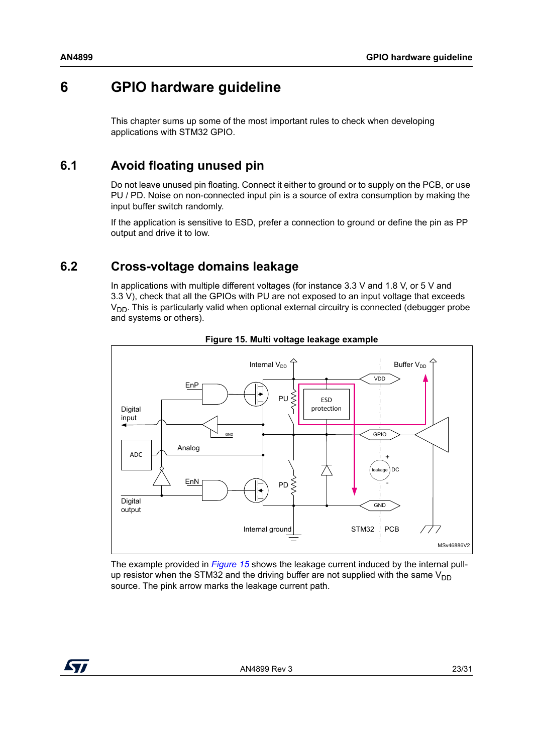## <span id="page-22-0"></span>**6 GPIO hardware guideline**

This chapter sums up some of the most important rules to check when developing applications with STM32 GPIO.

### <span id="page-22-1"></span>**6.1 Avoid floating unused pin**

Do not leave unused pin floating. Connect it either to ground or to supply on the PCB, or use PU / PD. Noise on non-connected input pin is a source of extra consumption by making the input buffer switch randomly.

If the application is sensitive to ESD, prefer a connection to ground or define the pin as PP output and drive it to low.

### <span id="page-22-2"></span>**6.2 Cross-voltage domains leakage**

In applications with multiple different voltages (for instance 3.3 V and 1.8 V, or 5 V and 3.3 V), check that all the GPIOs with PU are not exposed to an input voltage that exceeds  $V<sub>DD</sub>$ . This is particularly valid when optional external circuitry is connected (debugger probe and systems or others).

<span id="page-22-3"></span>



The example provided in *[Figure](#page-22-3) 15* shows the leakage current induced by the internal pullup resistor when the STM32 and the driving buffer are not supplied with the same  $V_{DD}$ source. The pink arrow marks the leakage current path.

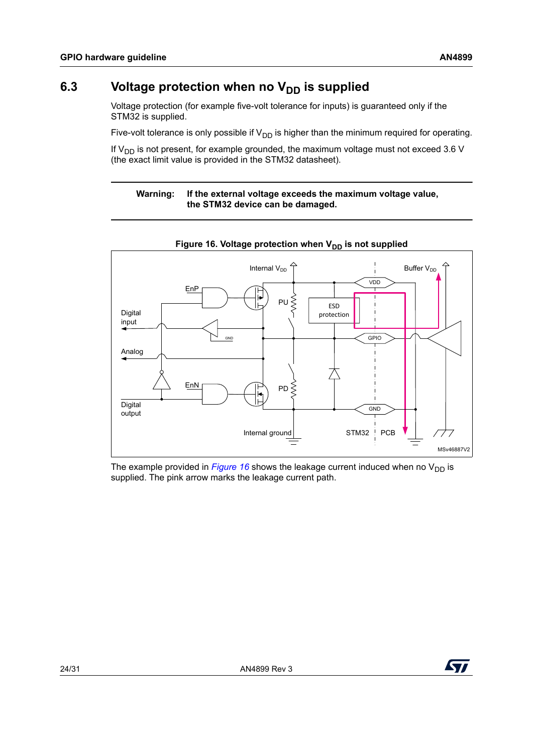### <span id="page-23-0"></span>6.3 Voltage protection when no V<sub>DD</sub> is supplied

Voltage protection (for example five-volt tolerance for inputs) is guaranteed only if the STM32 is supplied.

Five-volt tolerance is only possible if  $V_{DD}$  is higher than the minimum required for operating.

If  $V_{DD}$  is not present, for example grounded, the maximum voltage must not exceed 3.6 V (the exact limit value is provided in the STM32 datasheet).

#### **Warning: If the external voltage exceeds the maximum voltage value, the STM32 device can be damaged.**

<span id="page-23-1"></span>

The example provided in *[Figure](#page-23-1)* 16 shows the leakage current induced when no  $V_{DD}$  is supplied. The pink arrow marks the leakage current path.

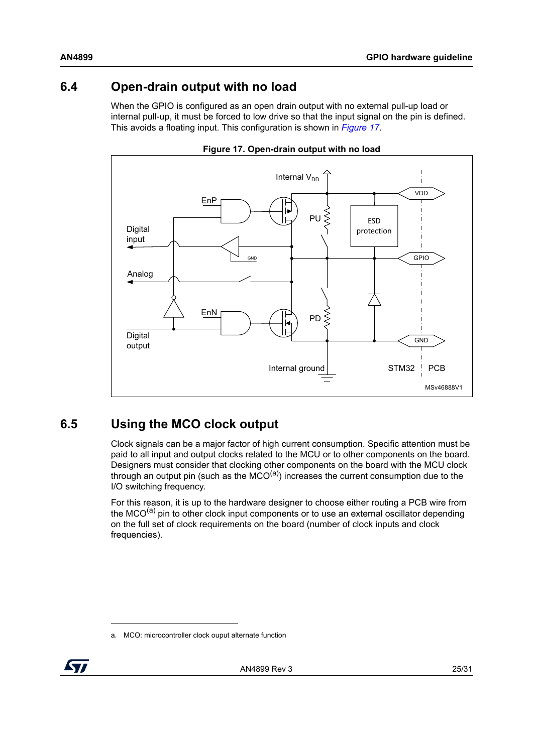### <span id="page-24-0"></span>**6.4 Open-drain output with no load**

When the GPIO is configured as an open drain output with no external pull-up load or internal pull-up, it must be forced to low drive so that the input signal on the pin is defined. This avoids a floating input. This configuration is shown in *[Figure](#page-24-2) 17*.

<span id="page-24-2"></span>



### <span id="page-24-1"></span>**6.5 Using the MCO clock output**

Clock signals can be a major factor of high current consumption. Specific attention must be paid to all input and output clocks related to the MCU or to other components on the board. Designers must consider that clocking other components on the board with the MCU clock through an output pin (such as the  $\overline{MCO}^{(a)}$ ) increases the current consumption due to the I/O switching frequency.

For this reason, it is up to the hardware designer to choose either routing a PCB wire from the MCO $<sup>(a)</sup>$  pin to other clock input components or to use an external oscillator depending</sup> on the full set of clock requirements on the board (number of clock inputs and clock frequencies).

<span id="page-24-3"></span>a. MCO: microcontroller clock ouput alternate function

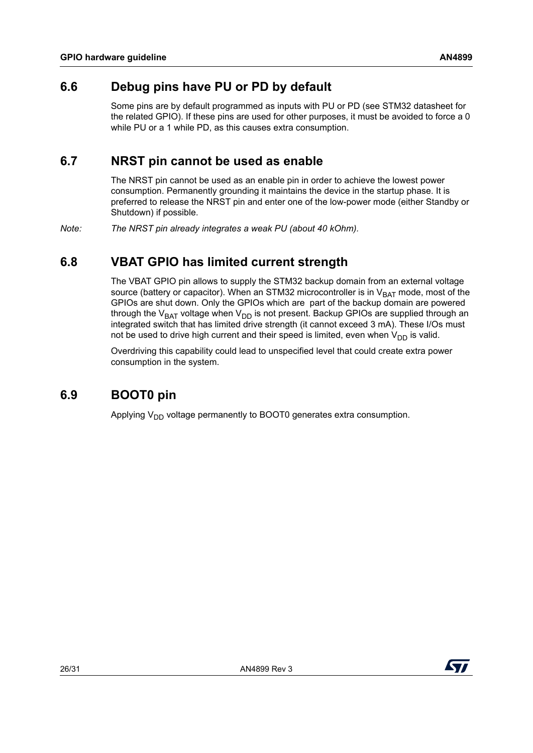### <span id="page-25-0"></span>**6.6 Debug pins have PU or PD by default**

Some pins are by default programmed as inputs with PU or PD (see STM32 datasheet for the related GPIO). If these pins are used for other purposes, it must be avoided to force a 0 while PU or a 1 while PD, as this causes extra consumption.

### <span id="page-25-1"></span>**6.7 NRST pin cannot be used as enable**

The NRST pin cannot be used as an enable pin in order to achieve the lowest power consumption. Permanently grounding it maintains the device in the startup phase. It is preferred to release the NRST pin and enter one of the low-power mode (either Standby or Shutdown) if possible.

*Note: The NRST pin already integrates a weak PU (about 40 kOhm).*

### <span id="page-25-2"></span>**6.8 VBAT GPIO has limited current strength**

The VBAT GPIO pin allows to supply the STM32 backup domain from an external voltage source (battery or capacitor). When an STM32 microcontroller is in  $V_{BAT}$  mode, most of the GPIOs are shut down. Only the GPIOs which are part of the backup domain are powered through the V<sub>BAT</sub> voltage when V<sub>DD</sub> is not present. Backup GPIOs are supplied through an integrated switch that has limited drive strength (it cannot exceed 3 mA). These I/Os must not be used to drive high current and their speed is limited, even when  $V_{DD}$  is valid.

Overdriving this capability could lead to unspecified level that could create extra power consumption in the system.

### <span id="page-25-3"></span>**6.9 BOOT0 pin**

Applying  $V_{DD}$  voltage permanently to BOOT0 generates extra consumption.

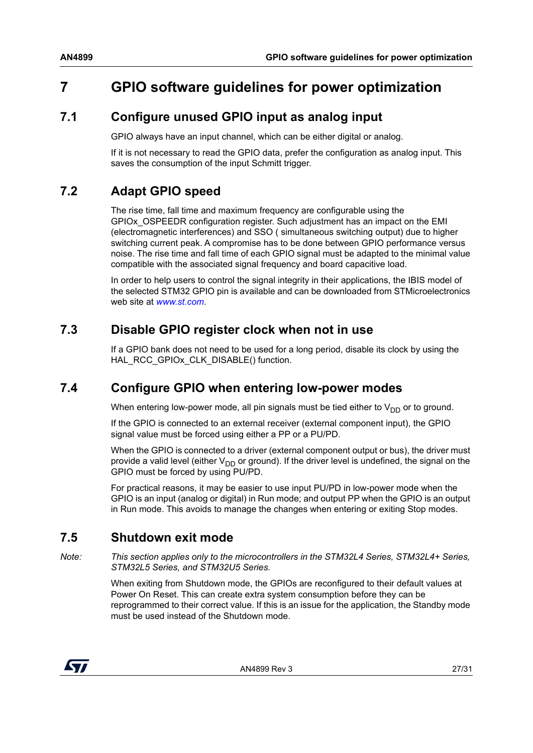# <span id="page-26-0"></span>**7 GPIO software guidelines for power optimization**

### <span id="page-26-1"></span>**7.1 Configure unused GPIO input as analog input**

GPIO always have an input channel, which can be either digital or analog.

If it is not necessary to read the GPIO data, prefer the configuration as analog input. This saves the consumption of the input Schmitt trigger.

### <span id="page-26-2"></span>**7.2 Adapt GPIO speed**

The rise time, fall time and maximum frequency are configurable using the GPIOx\_OSPEEDR configuration register. Such adjustment has an impact on the EMI (electromagnetic interferences) and SSO ( simultaneous switching output) due to higher switching current peak. A compromise has to be done between GPIO performance versus noise. The rise time and fall time of each GPIO signal must be adapted to the minimal value compatible with the associated signal frequency and board capacitive load.

In order to help users to control the signal integrity in their applications, the IBIS model of the selected STM32 GPIO pin is available and can be downloaded from STMicroelectronics web site at *www.st.com*.

### <span id="page-26-3"></span>**7.3 Disable GPIO register clock when not in use**

If a GPIO bank does not need to be used for a long period, disable its clock by using the HAL\_RCC\_GPIOx\_CLK\_DISABLE() function.

### <span id="page-26-4"></span>**7.4 Configure GPIO when entering low-power modes**

When entering low-power mode, all pin signals must be tied either to  $V_{DD}$  or to ground.

If the GPIO is connected to an external receiver (external component input), the GPIO signal value must be forced using either a PP or a PU/PD.

When the GPIO is connected to a driver (external component output or bus), the driver must provide a valid level (either  $V_{DD}$  or ground). If the driver level is undefined, the signal on the GPIO must be forced by using PU/PD.

For practical reasons, it may be easier to use input PU/PD in low-power mode when the GPIO is an input (analog or digital) in Run mode; and output PP when the GPIO is an output in Run mode. This avoids to manage the changes when entering or exiting Stop modes.

### <span id="page-26-5"></span>**7.5 Shutdown exit mode**

*Note: This section applies only to the microcontrollers in the STM32L4 Series, STM32L4+ Series, STM32L5 Series, and STM32U5 Series.*

> When exiting from Shutdown mode, the GPIOs are reconfigured to their default values at Power On Reset. This can create extra system consumption before they can be reprogrammed to their correct value. If this is an issue for the application, the Standby mode must be used instead of the Shutdown mode.

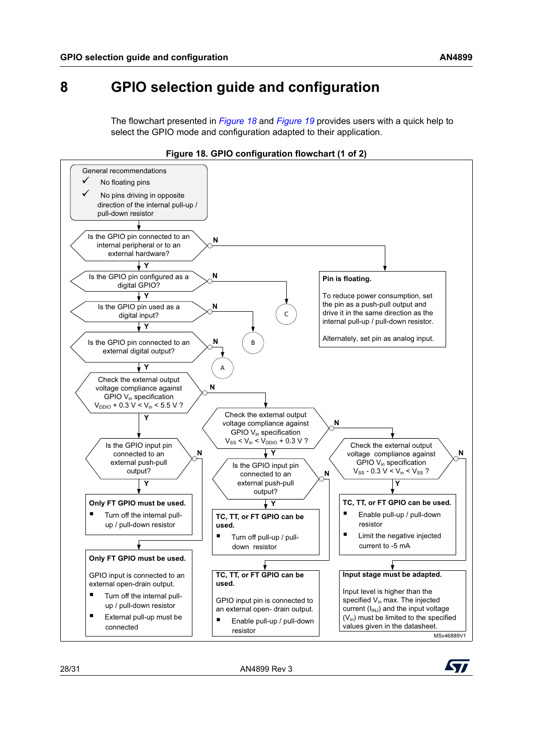## <span id="page-27-0"></span>**8 GPIO selection guide and configuration**

The flowchart presented in *[Figure](#page-27-1) 18* and *[Figure](#page-28-0) 19* provides users with a quick help to select the GPIO mode and configuration adapted to their application.

<span id="page-27-1"></span>



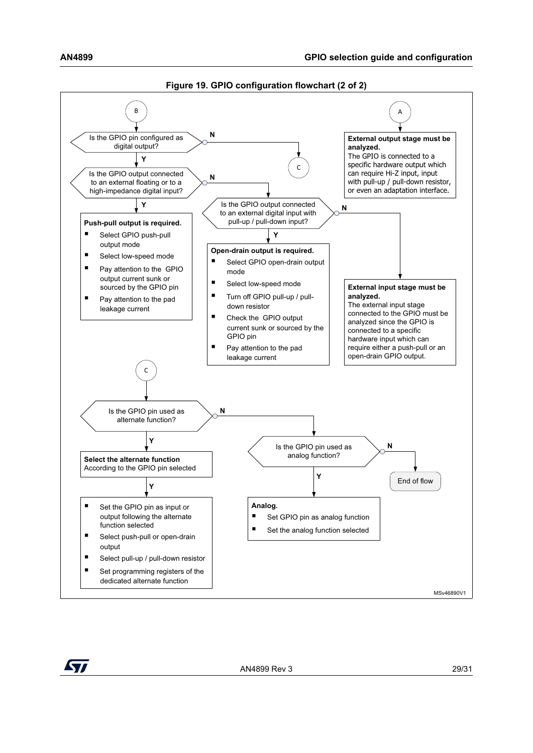<span id="page-28-0"></span>

**Figure 19. GPIO configuration flowchart (2 of 2)**

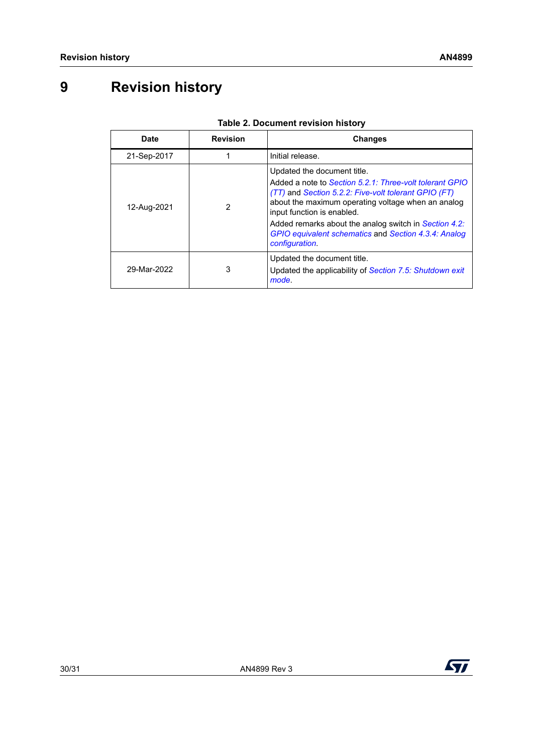# <span id="page-29-0"></span>**9 Revision history**

<span id="page-29-1"></span>

| <b>Date</b> | <b>Revision</b> | <b>Changes</b>                                                                                                                                                                                                                                                                                                                                                        |
|-------------|-----------------|-----------------------------------------------------------------------------------------------------------------------------------------------------------------------------------------------------------------------------------------------------------------------------------------------------------------------------------------------------------------------|
| 21-Sep-2017 |                 | Initial release.                                                                                                                                                                                                                                                                                                                                                      |
| 12-Aug-2021 | 2               | Updated the document title.<br>Added a note to Section 5.2.1: Three-volt tolerant GPIO<br>(TT) and Section 5.2.2: Five-volt tolerant GPIO (FT)<br>about the maximum operating voltage when an analog<br>input function is enabled.<br>Added remarks about the analog switch in Section 4.2:<br>GPIO equivalent schematics and Section 4.3.4: Analog<br>configuration. |
| 29-Mar-2022 | 3               | Updated the document title.<br>Updated the applicability of Section 7.5: Shutdown exit<br>mode.                                                                                                                                                                                                                                                                       |

#### **Table 2. Document revision history**